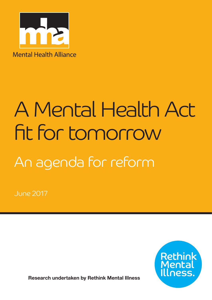

# A Mental Health Act fit for tomorrow An agenda for reform

June 2017



Research undertaken by Rethink Mental Illness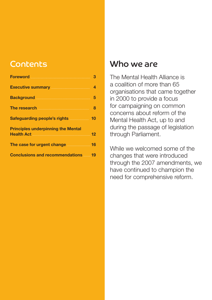# **Contents**

| <b>Foreword 70 Foreword</b>                                                                                                                                                                                                        |  |
|------------------------------------------------------------------------------------------------------------------------------------------------------------------------------------------------------------------------------------|--|
| Executive summary <b>Executive</b> 4                                                                                                                                                                                               |  |
|                                                                                                                                                                                                                                    |  |
| The research <b>and the search</b> and a search and a search and a search and a search of the search of the search of the search of the search of the search of the search of the search of the search of the search of the search |  |
| Safeguarding people's rights <b>manually 10</b>                                                                                                                                                                                    |  |
| <b>Principles underpinning the Mental</b>                                                                                                                                                                                          |  |
|                                                                                                                                                                                                                                    |  |
| The case for urgent change <b><i>Manue</i></b> 16                                                                                                                                                                                  |  |
| <b>Conclusions and recommendations 49</b>                                                                                                                                                                                          |  |

# Who we are

The Mental Health Alliance is a coalition of more than 65 organisations that came together in 2000 to provide a focus for campaigning on common concerns about reform of the Mental Health Act, up to and during the passage of legislation through Parliament.

While we welcomed some of the changes that were introduced through the 2007 amendments, we have continued to champion the need for comprehensive reform.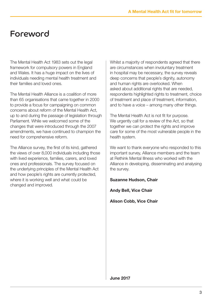# Foreword

The Mental Health Act 1983 sets out the legal framework for compulsory powers in England and Wales. It has a huge impact on the lives of individuals needing mental health treatment and their families and loved ones.

The Mental Health Alliance is a coalition of more than 65 organisations that came together in 2000 to provide a focus for campaigning on common concerns about reform of the Mental Health Act, up to and during the passage of legislation through Parliament. While we welcomed some of the changes that were introduced through the 2007 amendments, we have continued to champion the need for comprehensive reform.

The Alliance survey, the first of its kind, gathered the views of over 8,000 individuals including those with lived experience, families, carers, and loved ones and professionals. The survey focused on the underlying principles of the Mental Health Act and how people's rights are currently protected, where it is working well and what could be changed and improved.

Whilst a majority of respondents agreed that there are circumstances when involuntary treatment in hospital may be necessary, the survey reveals deep concerns that people's dignity, autonomy and human rights are overlooked. When asked about additional rights that are needed, respondents highlighted rights to treatment, choice of treatment and place of treatment, information, and to have a voice – among many other things.

The Mental Health Act is not fit for purpose. We urgently call for a review of the Act, so that together we can protect the rights and improve care for some of the most vulnerable people in the health system.

We want to thank everyone who responded to this important survey, Alliance members and the team at Rethink Mental Illness who worked with the Alliance in developing, disseminating and analysing the survey.

Suzanne Hudson, Chair

Andy Bell, Vice Chair

Alison Cobb, Vice Chair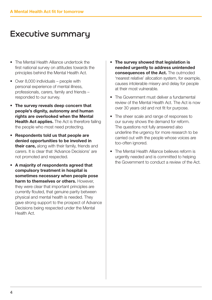# Executive summary

- The Mental Health Alliance undertook the first national survey on attitudes towards the principles behind the Mental Health Act.
- Over 8,000 individuals people with personal experience of mental illness, professionals, carers, family and friends – responded to our survey.
- The survey reveals deep concern that people's dignity, autonomy and human rights are overlooked when the Mental **Health Act applies.** The Act is therefore failing the people who most need protecting.
- Respondents told us that people are denied opportunities to be involved in their care, along with their family, friends and carers. It is clear that 'Advance Decisions' are not promoted and respected.
- A majority of respondents agreed that compulsory treatment in hospital is sometimes necessary when people pose harm to themselves or others. However, they were clear that important principles are currently flouted, that genuine parity between physical and mental health is needed. They gave strong support to the prospect of Advance Decisions being respected under the Mental Health Act.
- The survey showed that legislation is needed urgently to address unintended consequences of the Act. The outmoded 'nearest relative' allocation system, for example, causes intolerable misery and delay for people at their most vulnerable.
- The Government must deliver a fundamental review of the Mental Health Act. The Act is now over 30 years old and not fit for purpose.
- The sheer scale and range of responses to our survey shows the demand for reform. The questions not fully answered also underline the urgency for more research to be carried out with the people whose voices are too-often ignored.
- The Mental Health Alliance believes reform is urgently needed and is committed to helping the Government to conduct a review of the Act.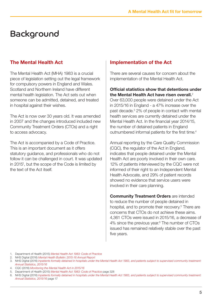# **Background**

#### The Mental Health Act

The Mental Health Act (MHA) 1983 is a crucial piece of legislation setting out the legal framework for compulsory powers in England and Wales. Scotland and Northern Ireland have different mental health legislation. The Act sets out when someone can be admitted, detained, and treated in hospital against their wishes.

The Act is now over 30 years old. It was amended in 2007 and the changes introduced included new Community Treatment Orders (CTOs) and a right to access advocacy.

The Act is accompanied by a Code of Practice. This is an important document as it offers statutory guidance, and professionals who do not follow it can be challenged in court. It was updated in 2015<sup>1</sup>, but the scope of the Code is limited by the text of the Act itself.

#### Implementation of the Act

There are several causes for concern about the implementation of the Mental Health Act.

#### Official statistics show that detentions under the Mental Health Act have risen overall.<sup>2</sup>

Over 63,000 people were detained under the Act in 2015/16 in England - a 47% increase over the past decade.<sup>3</sup> 2% of people in contact with mental health services are currently detained under the Mental Health Act. In the financial year 2014/15, the number of detained patients in England outnumbered informal patients for the first time.<sup>4</sup>

Annual reporting by the Care Quality Commission (CQC), the regulator of the Act in England, indicates that people detained under the Mental Health Act are poorly involved in their own care. 12% of patients interviewed by the CQC were not informed of their right to an Independent Mental Health Advocate, and 29% of patient records showed no evidence that service users were involved in their care planning.

**Community Treatment Orders** are intended to reduce the number of people detained in hospital, and to promote their recovery.<sup>5</sup> There are concerns that CTOs do not achieve these aims. 4,361 CTOs were issued in 2015/16, a decrease of 4% since the previous year.<sup>6</sup> The number of CTOs issued has remained relatively stable over the past five years.

- 1. Department of Health (2015) *[Mental Health Act 1983: Code of Practice](https://www.gov.uk/government/uploads/system/uploads/attachment_data/file/435512/MHA_Code_of_Practice.PDF)*
- 2. NHS Digital (2016) *[Mental Health Bulletin: 2015-16 Annual Report](http://content.digital.nhs.uk/searchcatalogue?productid=23666&q=annual&topics=0%2fMental+health&sort=Relevance&size=10&page=1#top)*
- 3. NHS Digital (2016) *Inpatients formally detained in hospitals under the Mental Health Act 1983, and patients subject to supervised community treatment: Annual Statistics, 2015/16*
- 4. CQC (2016) *[Monitoring the Mental Health Act in 2015/16](http://www.cqc.org.uk/publications/major-report/monitoring-mental-health-act-report)*
- 5. Department of Health (2015) *[Mental Health Act 1983: Code of Practice](https://www.gov.uk/government/uploads/system/uploads/attachment_data/file/435512/MHA_Code_of_Practice.PDF)* page 328
- 6. NHS Digital (2016) *Inpatients formally detained in hospitals under the Mental Health Act 1983, and patients subject to supervised community treatment: Annual Statistics, 2015/16* page 17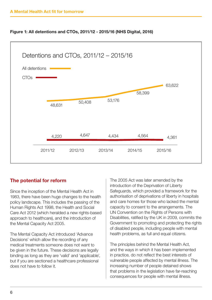

#### Figure 1: All detentions and CTOs, 2011/12 - 2015/16 (NHS Digital, 2016)

## The potential for reform

Since the inception of the Mental Health Act in 1983, there have been huge changes to the health policy landscape. This includes the passing of the Human Rights Act 1998, the Health and Social Care Act 2012 (which heralded a new rights-based approach to healthcare), and the introduction of the Mental Capacity Act 2005.

The Mental Capacity Act introduced 'Advance Decisions' which allow the recording of any medical treatments someone does not want to be given in the future. These decisions are legally binding as long as they are 'valid' and 'applicable', but if you are sectioned a healthcare professional does not have to follow it.

The 2005 Act was later amended by the introduction of the Deprivation of Liberty Safeguards, which provided a framework for the authorisation of deprivations of liberty in hospitals and care homes for those who lacked the mental capacity to consent to the arrangements. The UN Convention on the Rights of Persons with Disabilities, ratified by the UK in 2009, commits the Government to promoting and protecting the rights of disabled people, including people with mental health problems, as full and equal citizens.

The principles behind the Mental Health Act, and the ways in which it has been implemented in practice, do not reflect the best interests of vulnerable people affected by mental illness. The increasing number of people detained shows that problems in the legislation have far-reaching consequences for people with mental illness.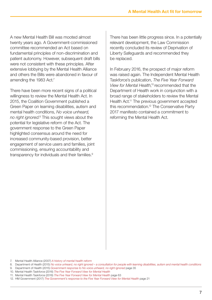A new Mental Health Bill was mooted almost twenty years ago. A Government-commissioned committee recommended an Act based on fundamental principles of non-discrimination and patient autonomy. However, subsequent draft bills were not consistent with these principles. After extensive lobbying by the Mental Health Alliance and others the Bills were abandoned in favour of amending the 1983 Act.<sup>7</sup>

There have been more recent signs of a political willingness to review the Mental Health Act. In 2015, the Coalition Government published a Green Paper on learning disabilities, autism and mental health conditions, *No voice unheard,*  no right ignored.<sup>8</sup> This sought views about the potential for legislative reform of the Act. The government response to the Green Paper highlighted consensus around the need for increased community-based provision, better engagement of service users and families, joint commissioning, ensuring accountability and transparency for individuals and their families.<sup>9</sup>

There has been little progress since. In a potentially relevant development, the Law Commission recently concluded its review of Deprivation of Liberty Safeguards and recommended they be replaced.

In February 2016, the prospect of major reform was raised again. The Independent Mental Health Taskforce's publication, *The Five Year Forward*  View for Mental Health,<sup>10</sup> recommended that the Department of Health work in conjunction with a broad range of stakeholders to review the Mental Health Act.<sup>11</sup> The previous government accepted this recommendation.12 The Conservative Party 2017 manifesto contained a commitment to reforming the Mental Health Act.

- 7. Mental Health Alliance (2007) *A history of mental health reform*
- 8. Department of Health (2015) *[No voice unheard, no right ignored a consultation for people with learning disabilities, autism and mental health conditions](https://www.gov.uk/government/uploads/system/uploads/attachment_data/file/409816/Document.pdf)*
- 9. Department of Health (2015) *[Government response to No voice unheard, no right ignored](https://www.gov.uk/government/uploads/system/uploads/attachment_data/file/475155/Gvt_Resp_Acc.pdf)* page 35
- 10. Mental Health Taskforce (2016) *The Five Year Forward View for Mental Health*
- 11. Mental Health Taskforce (2016) *The Five Year Forward View for Mental Health* page 63
- 12. HM Government (2017) *[The Government's response to the Five Year Forward View for Mental Health](https://www.gov.uk/government/uploads/system/uploads/attachment_data/file/582120/FYFV_mental_health__government_response.pdf)* page 21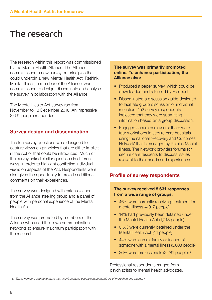# The research

The research within this report was commissioned by the Mental Health Alliance. The Alliance commissioned a new survey on principles that could underpin a new Mental Health Act. Rethink Mental Illness, a member of the Alliance, was commissioned to design, disseminate and analyse the survey in collaboration with the Alliance.

The Mental Health Act survey ran from 1 November to 18 December 2016. An impressive 8,631 people responded.

## Survey design and dissemination

The ten survey questions were designed to capture views on principles that are either implicit in the Act or that could be introduced. Much of the survey asked similar questions in different ways, in order to highlight conflicting individual views on aspects of the Act. Respondents were also given the opportunity to provide additional comments on their experiences.

The survey was designed with extensive input from the Alliance steering group and a panel of people with personal experience of the Mental Health Act.

The survey was promoted by members of the Alliance who used their own communication networks to ensure maximum participation with the research.

#### The survey was primarily promoted online. To enhance participation, the Alliance also:

- Produced a paper survey, which could be downloaded and returned by Freepost.
- Disseminated a discussion guide designed to facilitate group discussion or individual reflection. 152 survey respondents indicated that they were submitting information based on a group discussion.
- Engaged secure care users: there were four workshops in secure care hospitals using the national 'Recovery and Outcomes Network' that is managed by Rethink Mental Illness. The Network provides forums for secure care residents to discuss issues relevant to their needs and experiences.

#### Profile of survey respondents

#### The survey received 8,631 responses from a wide range of groups:

- 46% were currently receiving treatment for mental illness (4,017 people)
- 14% had previously been detained under the Mental Health Act (1,218 people)
- 0.5% were currently detained under the Mental Health Act (44 people)
- 44% were carers, family or friends of someone with a mental illness (3,803 people)
- 26% were professionals (2,281 people)<sup>13</sup>

Professional respondents ranged from psychiatrists to mental health advocates.

13. *These numbers add up to more than 100% because people can be members of more than one category*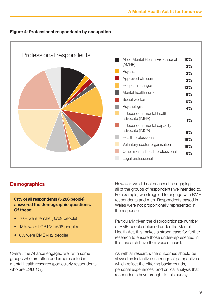



## **Demographics**

61% of all respondents (5,286 people) answered the demographic questions. Of these:

- 70% were female (3,769 people)
- 13% were LGBTQ+ (698 people)
- 8% were BME (412 people)

Overall, the Alliance engaged well with some groups who are often underrepresented in mental health research (particularly respondents who are LGBTQ+).

However, we did not succeed in engaging all of the groups of respondents we intended to. For example, we struggled to engage with BME respondents and men. Respondents based in Wales were not proportionally represented in the response.

Particularly given the disproportionate number of BME people detained under the Mental Health Act, this makes a strong case for further research to ensure those under-represented in this research have their voices heard.

As with all research, the outcomes should be viewed as indicative of a range of perspectives which reflect the differing backgrounds, personal experiences, and critical analysis that respondents have brought to this survey.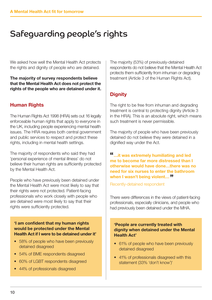# Safeguarding people's rights

We asked how well the Mental Health Act protects the rights and dignity of people who are detained.

The majority of survey respondents believe that the Mental Health Act does not protect the rights of the people who are detained under it.

## Human Rights

The Human Rights Act 1998 (HRA) sets out 16 legally enforceable human rights that apply to everyone in the UK, including people experiencing mental health issues. The HRA requires both central government and public services to respect and protect these rights, including in mental health settings.

The majority of respondents who said they had 'personal experience of mental illness' do not believe their human rights are sufficiently protected by the Mental Health Act.

People who have previously been detained under the Mental Health Act were most likely to say that their rights were not protected. Patient-facing professionals who work closely with people who are detained were most likely to say that their rights were sufficiently protected.

'I am confident that my human rights would be protected under the Mental Health Act if I were to be detained under it'

- 58% of people who have been previously detained disagreed
- 54% of BME respondents disagreed
- 60% of LGBT respondents disagreed
- 44% of professionals disagreed

The majority (53%) of previously-detained respondents do not believe that the Mental Health Act protects them sufficiently from inhuman or degrading treatment (Article 3 of the Human Rights Act).

## **Dignity**

The right to be free from inhuman and degrading treatment is central to protecting dignity (Article 3 in the HRA). This is an absolute right, which means such treatment is never permissible.

The majority of people who have been previously detained do not believe they were detained in a dignified way under the Act.

"…it was extremely humiliating and led me to become far more distressed than I otherwise would have done…there was no need for six nurses to enter the bathroom when I wasn't being violent...<sup>"</sup>

Recently-detained respondent

There were differences in the views of patient-facing professionals, especially clinicians, and people who had previously been detained under the MHA.

'People are currently treated with dignity when detained under the Mental Health Act'

- 61% of people who have been previously detained disagreed
- 41% of professionals disagreed with this statement (33% 'don't know')'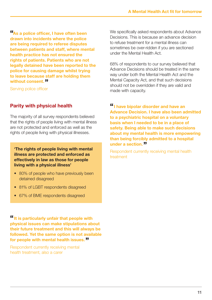"As a police officer, I have often been drawn into incidents where the police are being required to referee disputes between patients and staff, where mental health practice has not ensured the rights of patients. Patients who are not legally detained have been reported to the police for causing damage whilst trying to leave because staff are holding them without consent.  $"$ 

Serving police officer

#### Parity with physical health

The majority of all survey respondents believed that the rights of people living with mental illness are not protected and enforced as well as the rights of people living with physical illnesses.

'The rights of people living with mental illness are protected and enforced as effectively in law as those for people living with a physical illness'

- 80% of people who have previously been detained disagreed
- 81% of LGBT respondents disagreed
- 67% of BME respondents disagreed

If it is particularly unfair that people with physical issues can make stipulations about their future treatment and this will always be followed. Yet the same option is not available for people with mental health issues. "

Respondent currently receiving mental health treatment, also a carer

We specifically asked respondents about Advance Decisions. This is because an advance decision to refuse treatment for a mental illness can sometimes be over-ridden if you are sectioned under the Mental Health Act.

68% of respondents to our survey believed that Advance Decisions should be treated in the same way under both the Mental Health Act and the Mental Capacity Act, and that such decisions should not be overridden if they are valid and made with capacity.

"I have bipolar disorder and have an Advance Decision. I have also been admitted to a psychiatric hospital on a voluntary basis when I needed to be in a place of safety. Being able to make such decisions about my mental health is more empowering than being forcibly admitted to a hospital under a section. "

Respondent currently receiving mental health treatment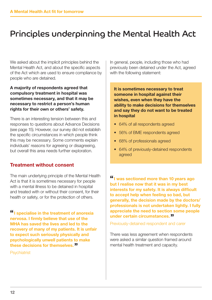# Principles underpinning the Mental Health Act

We asked about the implicit principles behind the Mental Health Act, and about the specific aspects of the Act which are used to ensure compliance by people who are detained.

A majority of respondents agreed that compulsory treatment in hospital was sometimes necessary, and that it may be necessary to restrict a person's human rights for their own or others' safety.

There is an interesting tension between this and responses to questions about Advance Decisions (see page 15). However, our survey did not establish the specific circumstances in which people think this may be necessary. Some comments explain individuals' reasons for agreeing or disagreeing, but overall this area needs further exploration.

## Treatment without consent

The main underlying principle of the Mental Health Act is that it is sometimes necessary for people with a mental illness to be detained in hospital and treated with or without their consent, for their health or safety, or for the protection of others.

"I specialise in the treatment of anorexia nervosa. I firmly believe that use of the MHA has saved the lives and led to the recovery of many of my patients. It is unfair to expect such seriously physically and psychologically unwell patients to make these decisions for themselves. "

**Psychiatrist** 

In general, people, including those who had previously been detained under the Act, agreed with the following statement:

It is sometimes necessary to treat someone in hospital against their wishes, even when they have the ability to make decisions for themselves and say they do not want to be treated in hospital

- 64% of all respondents agreed
- 56% of BME respondents agreed
- 68% of professionals agreed
- 64% of previously-detained respondents agreed

"I was sectioned more than 10 years ago but I realise now that it was in my best interests for my safety. It is always difficult to accept help when feeling so bad, but generally, the decision made by the doctors/ professionals is not undertaken lightly. I fully appreciate the need to section some people under certain circumstances. "

Previously-detained respondent and carer

There was less agreement when respondents were asked a similar question framed around mental health treatment and capacity.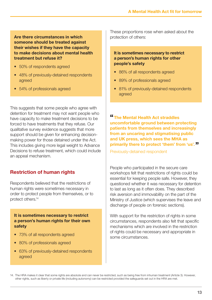Are there circumstances in which someone should be treated against their wishes if they have the capacity to make decisions about mental health treatment but refuse it?

- 50% of respondents agreed
- 48% of previously-detained respondents agreed
- 54% of professionals agreed

This suggests that some people who agree with detention for treatment may not want people who have capacity to make treatment decisions to be forced to have treatments that they refuse. Our qualitative survey evidence suggests that more support should be given for enhancing decisionmaking power for those detained under the Act. This includes giving more legal weight to Advance Decisions to refuse treatment, which could include an appeal mechanism.

## Restriction of human rights

Respondents believed that the restrictions of human rights were sometimes necessary in order to protect people from themselves, or to protect others.14

It is sometimes necessary to restrict a person's human rights for their own safety

- 73% of all respondents agreed
- 80% of professionals agreed
- 63% of previously-detained respondents agreed

These proportions rose when asked about the protection of others:

It is sometimes necessary to restrict a person's human rights for other people's safety

- 86% of all respondents agreed
- 89% of professionals agreed
- 81% of previously-detained respondents agreed

"The Mental Health Act straddles uncomfortable ground between protecting patients from themselves and increasingly from an uncaring and stigmatising public and UK press, which sees the MHA as primarily there to protect 'them' from 'us'. "

Previously-detained respondent

People who participated in the secure care workshops felt that restrictions of rights could be essential for keeping people safe. However, they questioned whether it was necessary for detention to last as long as it often does. They described risk aversion and immovability on the part of the Ministry of Justice (which supervises the leave and discharge of people on forensic sections).

With support for the restriction of rights in some circumstances, respondents also felt that specific mechanisms which are involved in the restriction of rights could be necessary and appropriate in some circumstances.

14. The HRA makes it clear that some rights are absolute and can never be restricted, such as being free from inhuman treatment (Article 3). However, other rights, such as liberty or private life (including autonomy) can be restricted provided the safeguards set out in the HRA are met.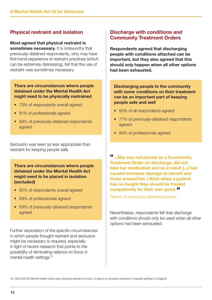## Physical restraint and isolation

Most agreed that physical restraint is sometimes necessary. It is noteworthy that

previously-detained respondents, who may have first-hand experience of restraint practices (which can be extremely distressing), felt that the use of restraint was sometimes necessary.

#### There are circumstances where people detained under the Mental Health Act might need to be physically restrained

- 73% of respondents overall agreed
- 81% of professionals agreed
- 69% of previously-detained respondents agreed

Seclusion was seen as less appropriate than restraint for keeping people safe.

There are circumstances where people detained under the Mental Health Act might need to be placed in isolation (secluded)

- 62% of respondents overall agreed
- 69% of professionals agreed
- 59% of previously-detained respondents agreed

Further exploration of the specific circumstances in which people thought restraint and seclusion might be necessary is required, especially in light of recent research that points to the possibility of eliminating reliance on force in mental health settings.15

## Discharge with conditions and Community Treatment Orders

Respondents agreed that discharging people with conditions attached can be important, but they also agreed that this should only happen when all other options had been exhausted.

Discharging people to the community with some conditions on their treatment can be an important part of keeping people safe and well

- 83% of all respondents agreed
- 77% of previously-detained respondents agreed
- 84% of professionals agreed

"...She was not placed on a Community Treatment Order on discharge, did not take her medication and as a result [...] has caused immense damage to herself and those around her. I think when a patient has no insight they should be treated compulsorily for their own good. "

Parent of previously-detained person

Nevertheless, respondents felt that discharge with conditions should only be used when all other options had been exhausted.

15. Mind (2013) *Mental health crisis care: physical restraint in crisis. A report on physical restraint in hospital settings in England*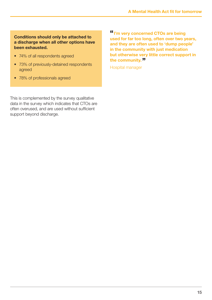#### Conditions should only be attached to a discharge when all other options have been exhausted.

- 74% of all respondents agreed
- 73% of previously-detained respondents agreed
- 78% of professionals agreed

"I'm very concerned CTOs are being used for far too long, often over two years, and they are often used to 'dump people' in the community with just medication but otherwise very little correct support in the community.<sup>33</sup>

Hospital manager

This is complemented by the survey qualitative data in the survey which indicates that CTOs are often overused, and are used without sufficient support beyond discharge.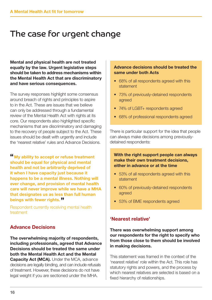# The case for urgent change

Mental and physical health are not treated equally by the law. Urgent legislative steps should be taken to address mechanisms within the Mental Health Act that are discriminatory and have serious consequences.

The survey responses highlight some consensus around breach of rights and principles to aspire to in the Act. These are issues that we believe can only be addressed through a fundamental review of the Mental Health Act with rights at its core. Our respondents also highlighted specific mechanisms that are discriminatory and damaging to the recovery of people subject to the Act. These issues should be dealt with urgently and include the 'nearest relative' rules and Advance Decisions.

" My ability to accept or refuse treatment should be equal for physical and mental health and not be arbitrarily deprived of it when I have capacity just because it happens to be a mental illness. Nothing will ever change, and provision of mental health care will never improve while we have a MHA that designates us as less than full human beings with fewer rights. "

Respondent currently receiving mental health treatment

## Advance Decisions

The overwhelming majority of respondents, including professionals, agreed that Advance Decisions should be treated the same under both the Mental Health Act and the Mental **Capacity Act (MCA).** Under the MCA, advance decisions are legally binding, and can include refusals of treatment. However, these decisions do not have legal weight if you are sectioned under the MHA.

#### Advance decisions should be treated the same under both Acts

- 68% of all respondents agreed with this statement
- 73% of previously-detained respondents agreed
- 74% of LGBT+ respondents agreed
- 68% of professional respondents agreed

There is particular support for the idea that people can always make decisions among previouslydetained respondents:

With the right support people can always make their own treatment decisions, either in advance or at the time

- 53% of all respondents agreed with this statement
- 60% of previously-detained respondents agreed
- 53% of BME respondents agreed

#### 'Nearest relative'

There was overwhelming support among our respondents for the right to specify who from those close to them should be involved in making decisions.

This statement was framed in the context of the 'nearest relative' role within the Act. This role has statutory rights and powers, and the process by which nearest relatives are selected is based on a fixed hierarchy of relationships.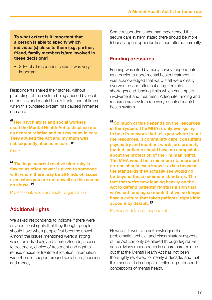To what extent is it important that a person is able to specify which individual(s) close to them (e.g. partner, friend, family member) is/are involved in these decisions?

• 86% of all respondents said it was very important

Respondents shared their stories, without prompting, of the system being abused by local authorities and mental health trusts, and of times when this outdated system has caused immense damage.

" Her psychiatrist and social workers used the Mental Health Act to displace me as nearest relative and put my mum in care. They abused the Act and my mum was subsequently abused in care. "

**Carer** 

"The legal nearest relative hierarchy is flawed as often power is given to someone with whom there may be all kinds of issues even when you are not unwell so this can be an abuse.  $"$ 

Professional, voluntary sector organisation

## Additional rights

We asked respondents to indicate if there were any additional rights that they thought people should have when people first become unwell. Among the issues mentioned were: a strong voice for individuals and families/friends, access to treatment, choice of treatment and right to refuse, choice of treatment location, information, wider/holistic support around social care, housing, and money.

Some respondents who had experienced the secure care system stated there should be more tribunal appeal opportunities than offered currently.

#### Funding pressures

Funding was cited by many survey respondents as a barrier to good mental health treatment. It was acknowledged that ward staff were clearly overworked and often suffering from staff shortages and funding limits which can impact involvement and treatment. Adequate funding and resource are key to a recovery-oriented mental health system.

"So much of this depends on the resources in the system. The MHA is only ever going to be a framework that tells you where to put the resources. If community care, consultant psychiatry and inpatient wards are properly funded, patients should have no complaints about the protection of their human rights. The MHA would be a minimum standard but no-one should even know it exists because the standards they actually see would go far beyond those minimum standards. The fact that we're now leaning heavily on the Act to defend patients' rights is a sign that we've cut funding so much that we no longer have a culture that takes patients' rights into account by default. "

Previously-detained respondent

However, it was also acknowledged that problematic, archaic, and discriminatory aspects of the Act can only be altered through legislative action. Many respondents in secure care pointed out that the Mental Health Act has not been thoroughly reviewed for nearly a decade, and that this means it is in danger of reflecting outmoded conceptions of mental health.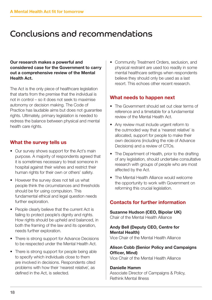# Conclusions and recommendations

Our research makes a powerful and considered case for the Government to carry out a comprehensive review of the Mental Health Act.

The Act is the only piece of healthcare legislation that starts from the premise that the individual is not in control – so it does not seek to maximise autonomy or decision making. The Code of Practice has laudable aims but does not guarantee rights. Ultimately, primary legislation is needed to redress the balance between physical and mental health care rights.

## What the survey tells us

- Our survey shows support for the Act's main purpose. A majority of respondents agreed that it is sometimes necessary to treat someone in hospital against their wishes and restrict their human rights for their own or others' safety.
- However the survey does not tell us what people think the circumstances and thresholds should be for using compulsion. This fundamental ethical and legal question needs further exploration.
- People clearly believe that the current Act is failing to protect people's dignity and rights. How rights should be upheld and balanced, in both the framing of the law and its operation, needs further exploration.
- There is strong support for Advance Decisions to be respected under the Mental Health Act.
- There is strong support for people being able to specify which individuals close to them are involved in decisions. Respondents cited problems with how their 'nearest relative', as defined in the Act, is selected.

• Community Treatment Orders, seclusion, and physical restraint are used too readily in some mental healthcare settings when respondents believe they should only be used as a last resort. This echoes other recent research.

## What needs to happen next

- The Government should set out clear terms of reference and a timetable for a fundamental review of the Mental Health Act.
- Any review must include urgent reform to the outmoded way that a 'nearest relative' is allocated, support for people to make their own decisions (including the role of Advance Decisions) and a review of CTOs.
- The Department of Health, prior to the drafting of any legislation, should undertake consultative research with groups of people who are most affected by the Act.
- The Mental Health Alliance would welcome the opportunity to work with Government on reforming this crucial legislation.

## Contacts for further information

Suzanne Hudson (CEO, Bipolar UK) Chair of the Mental Health Alliance

Andy Bell (Deputy CEO, Centre for Mental Health) Vice Chair of the Mental Health Alliance

## Alison Cobb (Senior Policy and Campaigns Officer, Mind)

Vice Chair of the Mental Health Alliance

#### Danielle Hamm

Associate Director of Campaigns & Policy, Rethink Mental Illness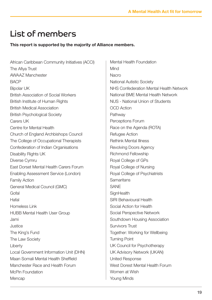# List of members

This report is supported by the majority of Alliance members.

African Caribbean Community Initiatives (ACCI) The Afiya Trust AWAAZ Manchester **BACP** Bipolar UK British Association of Social Workers British Institute of Human Rights British Medical Association British Psychological Society Carers UK Centre for Mental Health Church of England Archbishops Council The College of Occupational Therapists Confederation of Indian Organisations Disability Rights UK Diverse Cymru East Dorset Mental Health Carers Forum Enabling Assessment Service (London) Family Action General Medical Council (GMC) Gofal Hafal Homeless Link HUBB Mental Health User Group Jami Justice The King's Fund The Law Society Liberty Local Government Information Unit (DHN) Maan Somali Mental Health Sheffield Manchester Race and Health Forum McPin Foundation Mencap

Mental Health Foundation Mind Nacro National Autistic Society NHS Confederation Mental Health Network National BME Mental Health Network NUS - National Union of Students OCD Action **Pathway** Perceptions Forum Race on the Agenda (ROTA) Refugee Action Rethink Mental Illness Revolving Doors Agency Richmond Fellowship Royal College of GPs Royal College of Nursing Royal College of Psychiatrists **Samaritans SANE SignHealth** SIRI Behavioural Health Social Action for Health Social Perspective Network Southdown Housing Association Survivors Trust Together: Working for Wellbeing Turning Point UK Council for Psychotherapy UK Advisory Network (UKAN) United Response West Dorest Mental Health Forum Women at Wish Young Minds